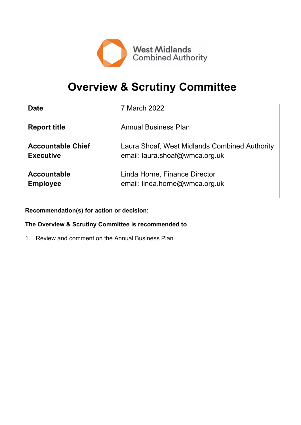

# **Overview & Scrutiny Committee**

| <b>Date</b>              | 7 March 2022                                  |
|--------------------------|-----------------------------------------------|
| <b>Report title</b>      | <b>Annual Business Plan</b>                   |
| <b>Accountable Chief</b> | Laura Shoaf, West Midlands Combined Authority |
| <b>Executive</b>         | email: laura.shoaf@wmca.org.uk                |
| <b>Accountable</b>       | Linda Horne, Finance Director                 |
| <b>Employee</b>          | email: linda.horne@wmca.org.uk                |

**Recommendation(s) for action or decision:**

**The Overview & Scrutiny Committee is recommended to**

1. Review and comment on the Annual Business Plan.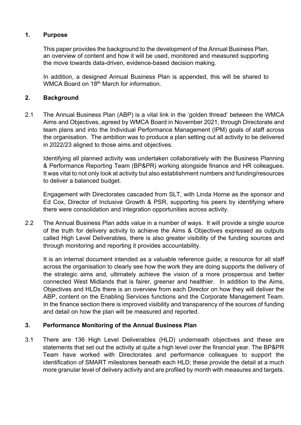#### **1. Purpose**

This paper provides the background to the development of the Annual Business Plan, an overview of content and how it will be used, monitored and measured supporting the move towards data-driven, evidence-based decision making.

In addition, a designed Annual Business Plan is appended, this will be shared to WMCA Board on 18<sup>th</sup> March for information.

### **2. Background**

2.1 The Annual Business Plan (ABP) is a vital link in the 'golden thread' between the WMCA Aims and Objectives, agreed by WMCA Board in November 2021, through Directorate and team plans and into the Individual Performance Management (IPM) goals of staff across the organisation. The ambition was to produce a plan setting out all activity to be delivered in 2022/23 aligned to those aims and objectives.

Identifying all planned activity was undertaken collaboratively with the Business Planning & Performance Reporting Team (BP&PR) working alongside finance and HR colleagues. It was vital to not only look at activity but also establishment numbers and funding/resources to deliver a balanced budget.

Engagement with Directorates cascaded from SLT, with Linda Horne as the sponsor and Ed Cox, Director of Inclusive Growth & PSR, supporting his peers by identifying where there were consolidation and integration opportunities across activity.

2.2 The Annual Business Plan adds value in a number of ways. It will provide a single source of the truth for delivery activity to achieve the Aims & Objectives expressed as outputs called High Level Deliverables, there is also greater visibility of the funding sources and through monitoring and reporting it provides accountability.

It is an internal document intended as a valuable reference guide; a resource for all staff across the organisation to clearly see how the work they are doing supports the delivery of the strategic aims and, ultimately achieve the vision of a more prosperous and better connected West Midlands that is fairer, greener and healthier. In addition to the Aims, Objectives and HLDs there is an overview from each Director on how they will deliver the ABP, content on the Enabling Services functions and the Corporate Management Team. In the finance section there is improved visibility and transparency of the sources of funding and detail on how the plan will be measured and reported.

## **3. Performance Monitoring of the Annual Business Plan**

3.1 There are 136 High Level Deliverables (HLD) underneath objectives and these are statements that set out the activity at quite a high level over the financial year. The BP&PR Team have worked with Directorates and performance colleagues to support the identification of SMART milestones beneath each HLD; these provide the detail at a much more granular level of delivery activity and are profiled by month with measures and targets.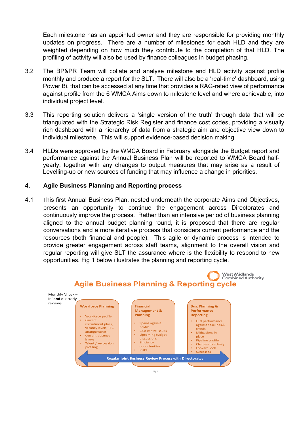Each milestone has an appointed owner and they are responsible for providing monthly updates on progress. There are a number of milestones for each HLD and they are weighted depending on how much they contribute to the completion of that HLD. The profiling of activity will also be used by finance colleagues in budget phasing.

- 3.2 The BP&PR Team will collate and analyse milestone and HLD activity against profile monthly and produce a report for the SLT. There will also be a 'real-time' dashboard, using Power Bi, that can be accessed at any time that provides a RAG-rated view of performance against profile from the 6 WMCA Aims down to milestone level and where achievable, into individual project level.
- 3.3 This reporting solution delivers a 'single version of the truth' through data that will be triangulated with the Strategic Risk Register and finance cost codes, providing a visually rich dashboard with a hierarchy of data from a strategic aim and objective view down to individual milestone. This will support evidence-based decision making.
- 3.4 HLDs were approved by the WMCA Board in February alongside the Budget report and performance against the Annual Business Plan will be reported to WMCA Board halfyearly, together with any changes to output measures that may arise as a result of Levelling-up or new sources of funding that may influence a change in priorities.

#### **4. Agile Business Planning and Reporting process**

4.1 This first Annual Business Plan, nested underneath the corporate Aims and Objectives, presents an opportunity to continue the engagement across Directorates and continuously improve the process. Rather than an intensive period of business planning aligned to the annual budget planning round, it is proposed that there are regular conversations and a more iterative process that considers current performance and the resources (both financial and people). This agile or dynamic process is intended to provide greater engagement across staff teams, alignment to the overall vision and regular reporting will give SLT the assurance where is the flexibility to respond to new opportunities. Fig 1 below illustrates the planning and reporting cycle.